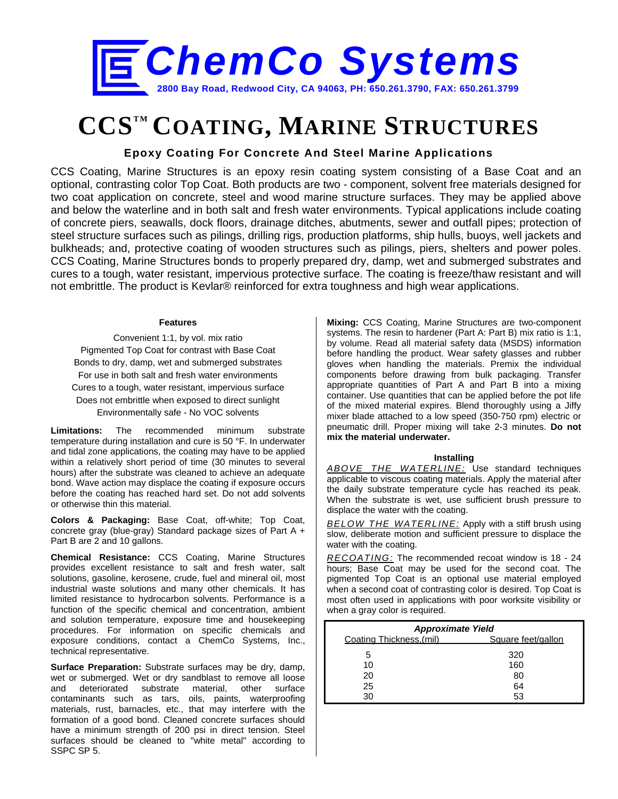

# **CCSTM COATING, MARINE STRUCTURES**

## **Epoxy Coating For Concrete And Steel Marine Applications**

CCS Coating, Marine Structures is an epoxy resin coating system consisting of a Base Coat and an optional, contrasting color Top Coat. Both products are two - component, solvent free materials designed for two coat application on concrete, steel and wood marine structure surfaces. They may be applied above and below the waterline and in both salt and fresh water environments. Typical applications include coating of concrete piers, seawalls, dock floors, drainage ditches, abutments, sewer and outfall pipes; protection of steel structure surfaces such as pilings, drilling rigs, production platforms, ship hulls, buoys, well jackets and bulkheads; and, protective coating of wooden structures such as pilings, piers, shelters and power poles. CCS Coating, Marine Structures bonds to properly prepared dry, damp, wet and submerged substrates and cures to a tough, water resistant, impervious protective surface. The coating is freeze/thaw resistant and will not embrittle. The product is Kevlar® reinforced for extra toughness and high wear applications.

#### **Features**

Convenient 1:1, by vol. mix ratio Pigmented Top Coat for contrast with Base Coat Bonds to dry, damp, wet and submerged substrates For use in both salt and fresh water environments Cures to a tough, water resistant, impervious surface Does not embrittle when exposed to direct sunlight Environmentally safe - No VOC solvents

**Limitations:** The recommended minimum substrate temperature during installation and cure is 50 °F. In underwater and tidal zone applications, the coating may have to be applied within a relatively short period of time (30 minutes to several hours) after the substrate was cleaned to achieve an adequate bond. Wave action may displace the coating if exposure occurs before the coating has reached hard set. Do not add solvents or otherwise thin this material.

**Colors & Packaging:** Base Coat, off-white; Top Coat, concrete gray (blue-gray) Standard package sizes of Part A + Part B are 2 and 10 gallons.

**Chemical Resistance:** CCS Coating, Marine Structures provides excellent resistance to salt and fresh water, salt solutions, gasoline, kerosene, crude, fuel and mineral oil, most industrial waste solutions and many other chemicals. It has limited resistance to hydrocarbon solvents. Performance is a function of the specific chemical and concentration, ambient and solution temperature, exposure time and housekeeping procedures. For information on specific chemicals and exposure conditions, contact a ChemCo Systems, Inc., technical representative.

**Surface Preparation:** Substrate surfaces may be dry, damp, wet or submerged. Wet or dry sandblast to remove all loose and deteriorated substrate material, other surface contaminants such as tars, oils, paints, waterproofing materials, rust, barnacles, etc., that may interfere with the formation of a good bond. Cleaned concrete surfaces should have a minimum strength of 200 psi in direct tension. Steel surfaces should be cleaned to "white metal" according to SSPC SP 5.

**Mixing:** CCS Coating, Marine Structures are two-component systems. The resin to hardener (Part A: Part B) mix ratio is 1:1, by volume. Read all material safety data (MSDS) information before handling the product. Wear safety glasses and rubber gloves when handling the materials. Premix the individual components before drawing from bulk packaging. Transfer appropriate quantities of Part A and Part B into a mixing container. Use quantities that can be applied before the pot life of the mixed material expires. Blend thoroughly using a Jiffy mixer blade attached to a low speed (350-750 rpm) electric or pneumatic drill. Proper mixing will take 2-3 minutes. **Do not mix the material underwater.** 

#### **Installing**

*ABOVE THE WATERLINE:* Use standard techniques applicable to viscous coating materials. Apply the material after the daily substrate temperature cycle has reached its peak. When the substrate is wet, use sufficient brush pressure to displace the water with the coating.

*BELOW THE WATERLINE:* Apply with a stiff brush using slow, deliberate motion and sufficient pressure to displace the water with the coating.

*RECOATING:* The recommended recoat window is 18 - 24 hours; Base Coat may be used for the second coat. The pigmented Top Coat is an optional use material employed when a second coat of contrasting color is desired. Top Coat is most often used in applications with poor worksite visibility or when a gray color is required.

| <b>Approximate Yield</b> |                    |  |  |  |  |  |
|--------------------------|--------------------|--|--|--|--|--|
| Coating Thickness.(mil)  | Square feet/gallon |  |  |  |  |  |
|                          |                    |  |  |  |  |  |
| 5                        | 320                |  |  |  |  |  |
| 10                       | 160                |  |  |  |  |  |
| 20                       | 80                 |  |  |  |  |  |
| 25                       | 64                 |  |  |  |  |  |
|                          |                    |  |  |  |  |  |
| 30                       | 53                 |  |  |  |  |  |